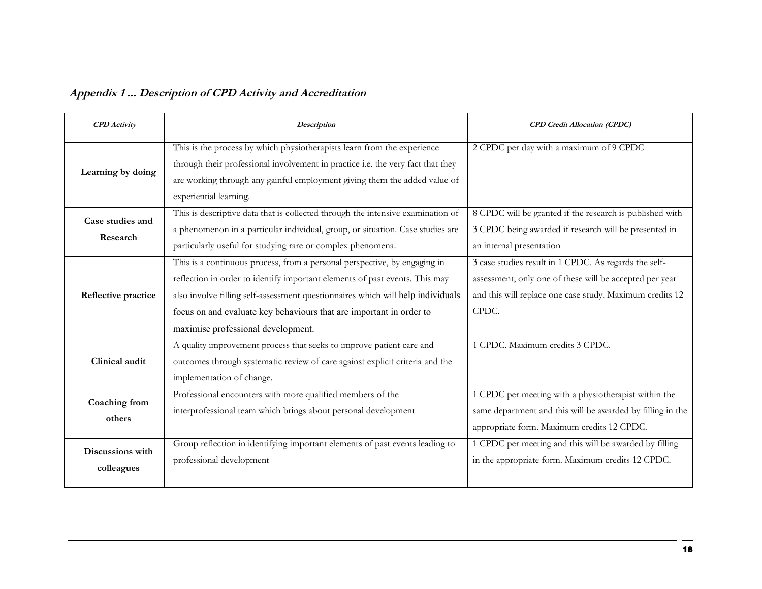| Appendix 1  Description of CPD Activity and Accreditation |  |  |  |
|-----------------------------------------------------------|--|--|--|
|                                                           |  |  |  |

| <b>CPD</b> Activity            | Description                                                                                                                                                                                                                                                                                                                                              | <b>CPD</b> Credit Allocation (CPDC)                                                                                                                                                   |  |
|--------------------------------|----------------------------------------------------------------------------------------------------------------------------------------------------------------------------------------------------------------------------------------------------------------------------------------------------------------------------------------------------------|---------------------------------------------------------------------------------------------------------------------------------------------------------------------------------------|--|
| Learning by doing              | This is the process by which physiotherapists learn from the experience<br>through their professional involvement in practice i.e. the very fact that they<br>are working through any gainful employment giving them the added value of<br>experiential learning.                                                                                        | 2 CPDC per day with a maximum of 9 CPDC                                                                                                                                               |  |
| Case studies and<br>Research   | This is descriptive data that is collected through the intensive examination of<br>a phenomenon in a particular individual, group, or situation. Case studies are<br>particularly useful for studying rare or complex phenomena.                                                                                                                         | 8 CPDC will be granted if the research is published with<br>3 CPDC being awarded if research will be presented in<br>an internal presentation                                         |  |
| Reflective practice            | This is a continuous process, from a personal perspective, by engaging in<br>reflection in order to identify important elements of past events. This may<br>also involve filling self-assessment questionnaires which will help individuals<br>focus on and evaluate key behaviours that are important in order to<br>maximise professional development. | 3 case studies result in 1 CPDC. As regards the self-<br>assessment, only one of these will be accepted per year<br>and this will replace one case study. Maximum credits 12<br>CPDC. |  |
| Clinical audit                 | A quality improvement process that seeks to improve patient care and<br>outcomes through systematic review of care against explicit criteria and the<br>implementation of change.                                                                                                                                                                        | 1 CPDC. Maximum credits 3 CPDC.                                                                                                                                                       |  |
| Coaching from<br>others        | Professional encounters with more qualified members of the<br>interprofessional team which brings about personal development                                                                                                                                                                                                                             | 1 CPDC per meeting with a physiotherapist within the<br>same department and this will be awarded by filling in the<br>appropriate form. Maximum credits 12 CPDC.                      |  |
| Discussions with<br>colleagues | Group reflection in identifying important elements of past events leading to<br>professional development                                                                                                                                                                                                                                                 | 1 CPDC per meeting and this will be awarded by filling<br>in the appropriate form. Maximum credits 12 CPDC.                                                                           |  |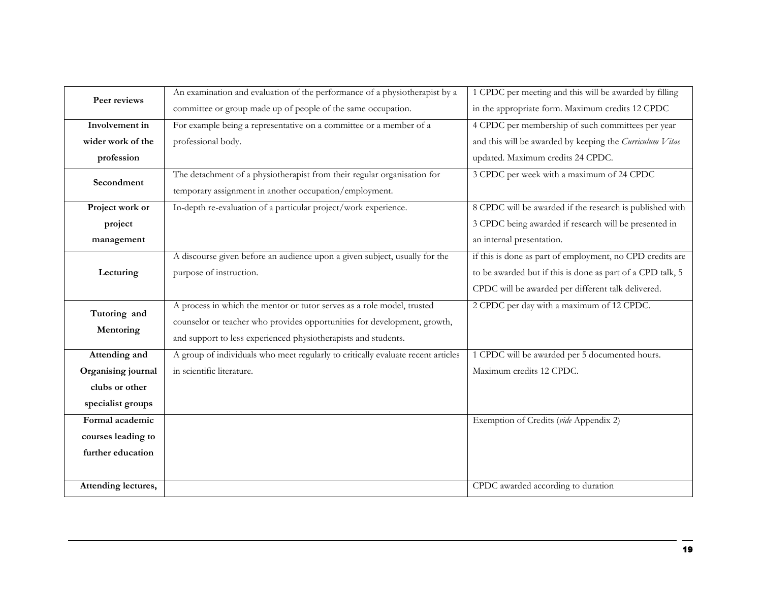| Peer reviews        | An examination and evaluation of the performance of a physiotherapist by a                                                        | 1 CPDC per meeting and this will be awarded by filling     |
|---------------------|-----------------------------------------------------------------------------------------------------------------------------------|------------------------------------------------------------|
|                     | committee or group made up of people of the same occupation.                                                                      | in the appropriate form. Maximum credits 12 CPDC           |
| Involvement in      | For example being a representative on a committee or a member of a                                                                | 4 CPDC per membership of such committees per year          |
| wider work of the   | professional body.                                                                                                                | and this will be awarded by keeping the Curriculum Vitae   |
| profession          |                                                                                                                                   | updated. Maximum credits 24 CPDC.                          |
| Secondment          | The detachment of a physiotherapist from their regular organisation for<br>temporary assignment in another occupation/employment. | 3 CPDC per week with a maximum of 24 CPDC                  |
|                     |                                                                                                                                   |                                                            |
| Project work or     | In-depth re-evaluation of a particular project/work experience.                                                                   | 8 CPDC will be awarded if the research is published with   |
| project             |                                                                                                                                   | 3 CPDC being awarded if research will be presented in      |
| management          |                                                                                                                                   | an internal presentation.                                  |
|                     | A discourse given before an audience upon a given subject, usually for the                                                        | if this is done as part of employment, no CPD credits are  |
| Lecturing           | purpose of instruction.                                                                                                           | to be awarded but if this is done as part of a CPD talk, 5 |
|                     |                                                                                                                                   | CPDC will be awarded per different talk delivered.         |
| Tutoring and        | A process in which the mentor or tutor serves as a role model, trusted                                                            | 2 CPDC per day with a maximum of 12 CPDC.                  |
|                     | counselor or teacher who provides opportunities for development, growth,                                                          |                                                            |
| Mentoring           | and support to less experienced physiotherapists and students.                                                                    |                                                            |
| Attending and       | A group of individuals who meet regularly to critically evaluate recent articles                                                  | 1 CPDC will be awarded per 5 documented hours.             |
| Organising journal  | in scientific literature.                                                                                                         | Maximum credits 12 CPDC.                                   |
| clubs or other      |                                                                                                                                   |                                                            |
| specialist groups   |                                                                                                                                   |                                                            |
| Formal academic     |                                                                                                                                   | Exemption of Credits (vide Appendix 2)                     |
| courses leading to  |                                                                                                                                   |                                                            |
| further education   |                                                                                                                                   |                                                            |
|                     |                                                                                                                                   |                                                            |
| Attending lectures, |                                                                                                                                   | CPDC awarded according to duration                         |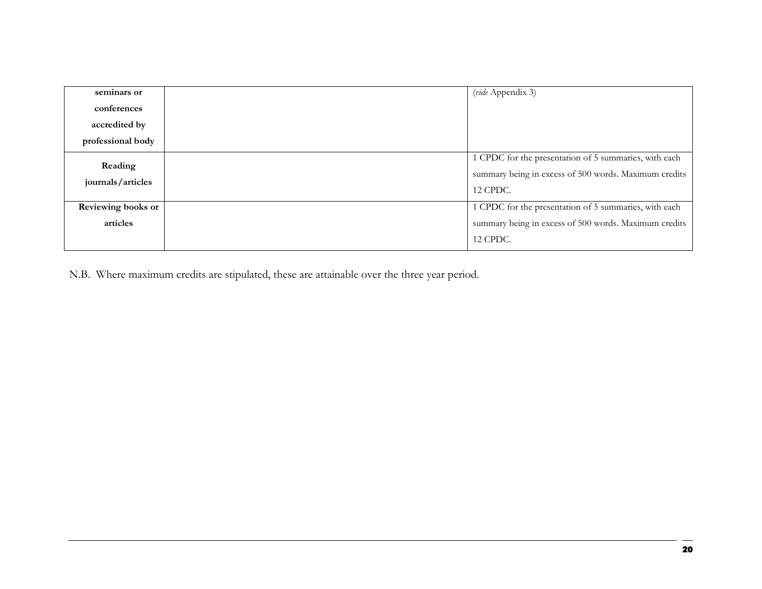| seminars or                  | (vide Appendix 3)                                                                                                                 |
|------------------------------|-----------------------------------------------------------------------------------------------------------------------------------|
| conferences                  |                                                                                                                                   |
| accredited by                |                                                                                                                                   |
| professional body            |                                                                                                                                   |
| Reading<br>journals/articles | 1 CPDC for the presentation of 5 summaries, with each<br>summary being in excess of 500 words. Maximum credits<br><b>12 CPDC.</b> |
| Reviewing books or           | 1 CPDC for the presentation of 5 summaries, with each                                                                             |
| articles                     | summary being in excess of 500 words. Maximum credits                                                                             |
|                              | <b>12 CPDC.</b>                                                                                                                   |

N.B. Where maximum credits are stipulated, these are attainable over the three year period.